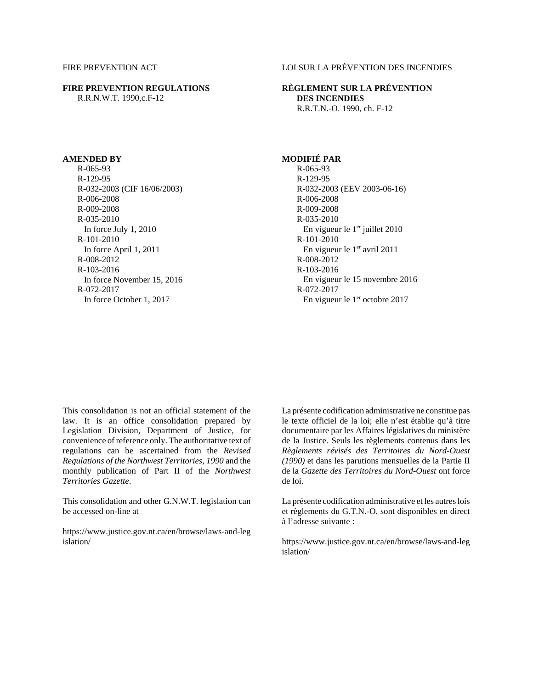### **FIRE PREVENTION REGULATIONS** R.R.N.W.T. 1990,c.F-12

# FIRE PREVENTION ACT LOI SUR LA PRÉVENTION DES INCENDIES

## **RÈGLEMENT SUR LA PRÉVENTION DES INCENDIES** R.R.T.N.-O. 1990, ch. F-12

R-065-93 R-129-95 R-032-2003 (CIF 16/06/2003) R-006-2008 R-009-2008 R-035-2010 In force July 1, 2010 R-101-2010 In force April 1, 2011 R-008-2012 R-103-2016 In force November 15, 2016 R-072-2017 In force October 1, 2017

# **AMENDED BY** MODIFIÉ PAR

R-065-93 R-129-95 R-032-2003 (EEV 2003-06-16) R-006-2008 R-009-2008 R-035-2010 En vigueur le  $1<sup>er</sup>$  juillet 2010 R-101-2010 En vigueur le 1<sup>er</sup> avril 2011 R-008-2012 R-103-2016 En vigueur le 15 novembre 2016 R-072-2017 En vigueur le 1<sup>er</sup> octobre 2017

This consolidation is not an official statement of the law. It is an office consolidation prepared by Legislation Division, Department of Justice, for convenience of reference only. The authoritative text of regulations can be ascertained from the *Revised Regulations of the Northwest Territories, 1990* and the monthly publication of Part II of the *Northwest Territories Gazette*.

This consolidation and other G.N.W.T. legislation can be accessed on-line at

https://www.justice.gov.nt.ca/en/browse/laws-and-leg islation/

La présente codification administrative ne constitue pas le texte officiel de la loi; elle n'est établie qu'à titre documentaire par les Affaires législatives du ministère de la Justice. Seuls les règlements contenus dans les *Règlements révisés des Territoires du Nord-Ouest (1990)* et dans les parutions mensuelles de la Partie II de la *Gazette des Territoires du Nord-Ouest* ont force de loi.

La présente codification administrative et les autres lois et règlements du G.T.N.-O. sont disponibles en direct à l'adresse suivante :

https://www.justice.gov.nt.ca/en/browse/laws-and-leg islation/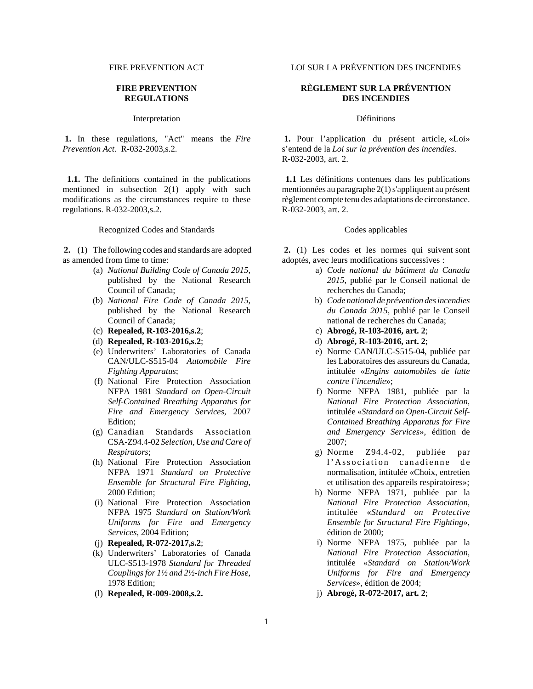### **FIRE PREVENTION REGULATIONS**

Interpretation Définitions

 **1.** In these regulations, "Act" means the *Fire Prevention Act*. R-032-2003,s.2.

 **1.1.** The definitions contained in the publications mentioned in subsection 2(1) apply with such modifications as the circumstances require to these regulations. R-032-2003,s.2.

Recognized Codes and Standards Codes applicables

**2.** (1) The following codes and standards are adopted as amended from time to time:

- (a) *National Building Code of Canada 2015*, published by the National Research Council of Canada;
- (b) *National Fire Code of Canada 2015*, published by the National Research Council of Canada;
- (c) **Repealed, R-103-2016,s.2**;
- (d) **Repealed, R-103-2016,s.2**;
- (e) Underwriters' Laboratories of Canada CAN/ULC-S515-04 *Automobile Fire Fighting Apparatus*;
- (f) National Fire Protection Association NFPA 1981 *Standard on Open-Circuit Self-Contained Breathing Apparatus for Fire and Emergency Services*, 2007 Edition;
- (g) Canadian Standards Association CSA-Z94.4-02 *Selection, Use and Care of Respirators*;
- (h) National Fire Protection Association NFPA 1971 *Standard on Protective Ensemble for Structural Fire Fighting*, 2000 Edition;
- (i) National Fire Protection Association NFPA 1975 *Standard on Station/Work Uniforms for Fire and Emergency Services*, 2004 Edition;
- (j) **Repealed, R-072-2017,s.2**;
- (k) Underwriters' Laboratories of Canada ULC-S513-1978 *Standard for Threaded Couplings for 1½ and 2½-inch Fire Hose*, 1978 Edition;
- (l) **Repealed, R-009-2008,s.2.**

FIRE PREVENTION ACT LOI SUR LA PRÉVENTION DES INCENDIES

## **RÈGLEMENT SUR LA PRÉVENTION DES INCENDIES**

 **1.** Pour l'application du présent article, «Loi» s'entend de la *Loi sur la prévention des incendies*. R-032-2003, art. 2.

 **1.1** Les définitions contenues dans les publications mentionnées au paragraphe 2(1) s'appliquent au présent règlement compte tenu des adaptations de circonstance. R-032-2003, art. 2.

**2.** (1) Les codes et les normes qui suivent sont adoptés, avec leurs modifications successives :

- a) *Code national du bâtiment du Canada 2015*, publié par le Conseil national de recherches du Canada;
- b) *Code national de prévention des incendies du Canada 2015*, publié par le Conseil national de recherches du Canada;
- c) **Abrogé, R-103-2016, art. 2**;
- d) **Abrogé, R-103-2016, art. 2**;
- e) Norme CAN/ULC-S515-04, publiée par les Laboratoires des assureurs du Canada, intitulée «*Engins automobiles de lutte contre l'incendie*»;
- f) Norme NFPA 1981, publiée par la *National Fire Protection Association*, intitulée «*Standard on Open-Circuit Self-Contained Breathing Apparatus for Fire and Emergency Services*», édition de 2007;
- g) Norme Z94.4-02, publiée par l'Association canadienne de normalisation, intitulée «Choix, entretien et utilisation des appareils respiratoires»;
- h) Norme NFPA 1971, publiée par la *National Fire Protection Association*, intitulée «*Standard on Protective Ensemble for Structural Fire Fighting*», édition de 2000;
- i) Norme NFPA 1975, publiée par la *National Fire Protection Association*, intitulée «*Standard on Station/Work Uniforms for Fire and Emergency Services*», édition de 2004;
- j) **Abrogé, R-072-2017, art. 2**;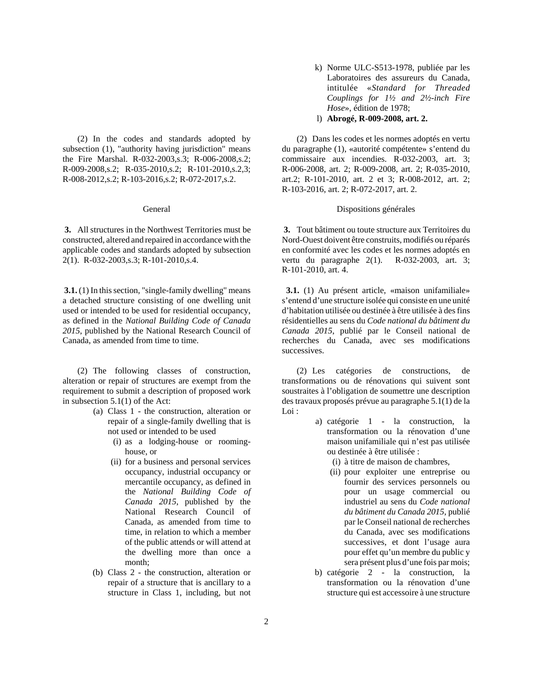(2) In the codes and standards adopted by subsection (1), "authority having jurisdiction" means the Fire Marshal. R-032-2003,s.3; R-006-2008,s.2; R-009-2008,s.2; R-035-2010,s.2; R-101-2010,s.2,3; R-008-2012,s.2; R-103-2016,s.2; R-072-2017,s.2.

**3.** All structures in the Northwest Territories must be constructed, altered and repaired in accordance with the applicable codes and standards adopted by subsection 2(1). R-032-2003,s.3; R-101-2010,s.4.

**3.1.** (1) In this section, "single-family dwelling" means a detached structure consisting of one dwelling unit used or intended to be used for residential occupancy, as defined in the *National Building Code of Canada 2015*, published by the National Research Council of Canada, as amended from time to time.

(2) The following classes of construction, alteration or repair of structures are exempt from the requirement to submit a description of proposed work in subsection 5.1(1) of the Act:

- (a) Class 1 the construction, alteration or repair of a single-family dwelling that is not used or intended to be used
	- (i) as a lodging-house or roominghouse, or
	- (ii) for a business and personal services occupancy, industrial occupancy or mercantile occupancy, as defined in the *National Building Code of Canada 2015*, published by the National Research Council of Canada, as amended from time to time, in relation to which a member of the public attends or will attend at the dwelling more than once a month;
- (b) Class 2 the construction, alteration or repair of a structure that is ancillary to a structure in Class 1, including, but not
- k) Norme ULC-S513-1978, publiée par les Laboratoires des assureurs du Canada, intitulée «*Standard for Threaded Couplings for 1½ and 2½-inch Fire Hose*», édition de 1978;
- l) **Abrogé, R-009-2008, art. 2.**

(2) Dans les codes et les normes adoptés en vertu du paragraphe (1), «autorité compétente» s'entend du commissaire aux incendies. R-032-2003, art. 3; R-006-2008, art. 2; R-009-2008, art. 2; R-035-2010, art.2; R-101-2010, art. 2 et 3; R-008-2012, art. 2; R-103-2016, art. 2; R-072-2017, art. 2.

### General Dispositions générales

 **3.** Tout bâtiment ou toute structure aux Territoires du Nord-Ouest doivent être construits, modifiés ou réparés en conformité avec les codes et les normes adoptés en vertu du paragraphe 2(1). R-032-2003, art. 3; R-101-2010, art. 4.

 **3.1.** (1) Au présent article, «maison unifamiliale» s'entend d'une structure isolée qui consiste en une unité d'habitation utilisée ou destinée à être utilisée à des fins résidentielles au sens du *Code national du bâtiment du Canada 2015*, publié par le Conseil national de recherches du Canada, avec ses modifications successives.

(2) Les catégories de constructions, de transformations ou de rénovations qui suivent sont soustraites à l'obligation de soumettre une description des travaux proposés prévue au paragraphe 5.1(1) de la Loi :

- a) catégorie 1 la construction, la transformation ou la rénovation d'une maison unifamiliale qui n'est pas utilisée ou destinée à être utilisée :
	- (i) à titre de maison de chambres,
	- (ii) pour exploiter une entreprise ou fournir des services personnels ou pour un usage commercial ou industriel au sens du *Code national du bâtiment du Canada 2015*, publié par le Conseil national de recherches du Canada, avec ses modifications successives, et dont l'usage aura pour effet qu'un membre du public y sera présent plus d'une fois par mois;
- b) catégorie 2 la construction, la transformation ou la rénovation d'une structure qui est accessoire à une structure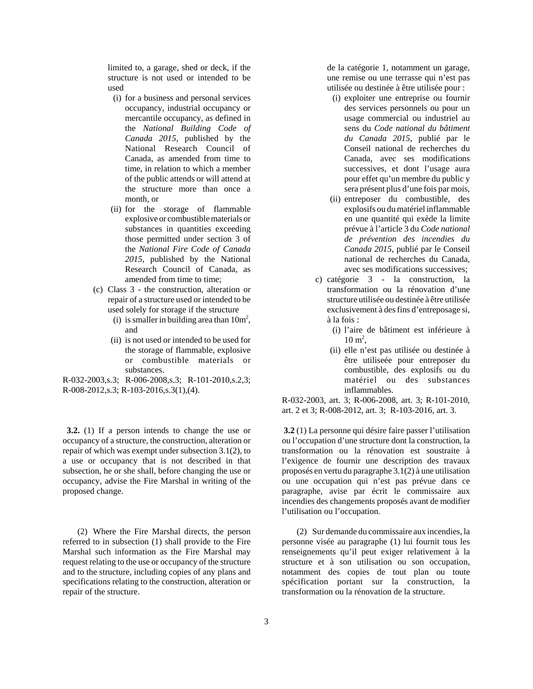limited to, a garage, shed or deck, if the structure is not used or intended to be used

- (i) for a business and personal services occupancy, industrial occupancy or mercantile occupancy, as defined in the *National Building Code of Canada 2015*, published by the National Research Council of Canada, as amended from time to time, in relation to which a member of the public attends or will attend at the structure more than once a month, or
- (ii) for the storage of flammable explosive or combustible materials or substances in quantities exceeding those permitted under section 3 of the *National Fire Code of Canada 2015*, published by the National Research Council of Canada, as amended from time to time;
- (c) Class 3 the construction, alteration or repair of a structure used or intended to be used solely for storage if the structure
	- (i) is smaller in building area than  $10m^2$ , and
	- (ii) is not used or intended to be used for the storage of flammable, explosive or combustible materials or substances.

R-032-2003,s.3; R-006-2008,s.3; R-101-2010,s.2,3; R-008-2012,s.3; R-103-2016,s.3(1),(4).

 **3.2.** (1) If a person intends to change the use or occupancy of a structure, the construction, alteration or repair of which was exempt under subsection 3.1(2), to a use or occupancy that is not described in that subsection, he or she shall, before changing the use or occupancy, advise the Fire Marshal in writing of the proposed change.

(2) Where the Fire Marshal directs, the person referred to in subsection (1) shall provide to the Fire Marshal such information as the Fire Marshal may request relating to the use or occupancy of the structure and to the structure, including copies of any plans and specifications relating to the construction, alteration or repair of the structure.

de la catégorie 1, notamment un garage, une remise ou une terrasse qui n'est pas utilisée ou destinée à être utilisée pour :

- (i) exploiter une entreprise ou fournir des services personnels ou pour un usage commercial ou industriel au sens du *Code national du bâtiment du Canada 2015*, publié par le Conseil national de recherches du Canada, avec ses modifications successives, et dont l'usage aura pour effet qu'un membre du public y sera présent plus d'une fois par mois,
- (ii) entreposer du combustible, des explosifs ou du matériel inflammable en une quantité qui exède la limite prévue à l'article 3 du *Code national de prévention des incendies du Canada 2015*, publié par le Conseil national de recherches du Canada, avec ses modifications successives;
- c) catégorie 3 la construction, la transformation ou la rénovation d'une structure utilisée ou destinée à être utilisée exclusivement à des fins d'entreposage si, à la fois :
	- (i) l'aire de bâtiment est inférieure à  $10 \text{ m}^2$ ,
	- (ii) elle n'est pas utilisée ou destinée à être utiliseée pour entreposer du combustible, des explosifs ou du matériel ou des substances inflammables.

R-032-2003, art. 3; R-006-2008, art. 3; R-101-2010, art. 2 et 3; R-008-2012, art. 3; R-103-2016, art. 3.

 **3.2** (1) La personne qui désire faire passer l'utilisation ou l'occupation d'une structure dont la construction, la transformation ou la rénovation est soustraite à l'exigence de fournir une description des travaux proposés en vertu du paragraphe 3.1(2) à une utilisation ou une occupation qui n'est pas prévue dans ce paragraphe, avise par écrit le commissaire aux incendies des changements proposés avant de modifier l'utilisation ou l'occupation.

(2) Sur demande du commissaire aux incendies, la personne visée au paragraphe (1) lui fournit tous les renseignements qu'il peut exiger relativement à la structure et à son utilisation ou son occupation, notamment des copies de tout plan ou toute spécification portant sur la construction, la transformation ou la rénovation de la structure.